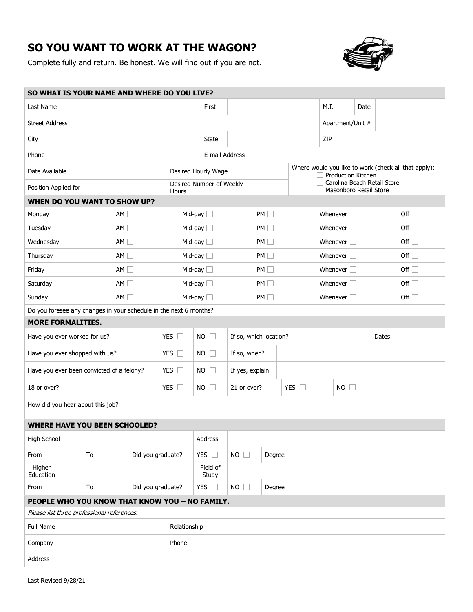## **SO YOU WANT TO WORK AT THE WAGON?**

Complete fully and return. Be honest. We will find out if you are not.



| SO WHAT IS YOUR NAME AND WHERE DO YOU LIVE?   |                                |    |                                                                   |                          |                                  |                     |                 |                                                       |                                                                            |                    |                    |               |            |
|-----------------------------------------------|--------------------------------|----|-------------------------------------------------------------------|--------------------------|----------------------------------|---------------------|-----------------|-------------------------------------------------------|----------------------------------------------------------------------------|--------------------|--------------------|---------------|------------|
| Last Name                                     |                                |    | First                                                             |                          |                                  | M.I.                | Date            |                                                       |                                                                            |                    |                    |               |            |
| <b>Street Address</b>                         |                                |    |                                                                   |                          |                                  |                     |                 |                                                       |                                                                            | Apartment/Unit #   |                    |               |            |
| City                                          |                                |    |                                                                   |                          | State                            |                     |                 |                                                       |                                                                            | ZIP                |                    |               |            |
| Phone                                         |                                |    |                                                                   |                          | E-mail Address                   |                     |                 |                                                       |                                                                            |                    |                    |               |            |
| Date Available                                |                                |    |                                                                   |                          | Desired Hourly Wage              |                     |                 |                                                       | Where would you like to work (check all that apply):<br>Production Kitchen |                    |                    |               |            |
| Position Applied for                          |                                |    | Hours                                                             | Desired Number of Weekly |                                  |                     |                 | Carolina Beach Retail Store<br>Masonboro Retail Store |                                                                            |                    |                    |               |            |
| <b>WHEN DO YOU WANT TO SHOW UP?</b>           |                                |    |                                                                   |                          |                                  |                     |                 |                                                       |                                                                            |                    |                    |               |            |
| Monday                                        |                                |    | AM                                                                |                          |                                  | Mid-day $\square$   |                 | PM                                                    |                                                                            | Whenever $\square$ |                    |               | Off $\Box$ |
| Tuesday                                       |                                |    | AM                                                                |                          | Mid-day $\Box$                   | PM                  |                 |                                                       | Whenever $\square$                                                         |                    |                    | Off $\Box$    |            |
| Wednesday                                     |                                |    |                                                                   | AM                       |                                  | Mid-day $\square$   | PM              |                                                       |                                                                            | Whenever $\square$ |                    |               | Off $\Box$ |
| Thursday                                      | AM                             |    |                                                                   | Mid-day $\Box$           |                                  |                     | PM              |                                                       |                                                                            |                    | Whenever $\square$ | Off $\Box$    |            |
| Friday                                        | AM                             |    |                                                                   |                          | Mid-day $\Box$                   | PM                  |                 |                                                       |                                                                            | Whenever $\square$ | Off $\Box$         |               |            |
| Saturday                                      |                                |    | AM                                                                |                          | Mid-day $\Box$                   | PM                  |                 |                                                       |                                                                            | Whenever $\square$ | Off $\Box$         |               |            |
| Sunday                                        | AM                             |    |                                                                   |                          | Mid-day $\Box$                   |                     | PM              |                                                       |                                                                            |                    | Whenever $\square$ | Off $\square$ |            |
|                                               |                                |    | Do you foresee any changes in your schedule in the next 6 months? |                          |                                  |                     |                 |                                                       |                                                                            |                    |                    |               |            |
| <b>MORE FORMALITIES.</b>                      |                                |    |                                                                   |                          |                                  |                     |                 |                                                       |                                                                            |                    |                    |               |            |
| YES $\square$<br>Have you ever worked for us? |                                |    |                                                                   | $NO$ $\Box$              | If so, which location?<br>Dates: |                     |                 |                                                       |                                                                            |                    |                    |               |            |
|                                               | Have you ever shopped with us? |    |                                                                   |                          |                                  |                     | If so, when?    |                                                       |                                                                            |                    |                    |               |            |
|                                               |                                |    |                                                                   |                          | YES $\Box$                       | $NO$ $\Box$         |                 |                                                       |                                                                            |                    |                    |               |            |
|                                               |                                |    | Have you ever been convicted of a felony?                         |                          | YES $\square$                    | $NO$ $\Box$         | If yes, explain |                                                       |                                                                            |                    |                    |               |            |
| 18 or over?                                   |                                |    |                                                                   |                          | YES $\square$                    | <b>NO</b><br>$\Box$ | 21 or over?     |                                                       |                                                                            | YES $\square$      |                    | $NO$ $\Box$   |            |
| How did you hear about this job?              |                                |    |                                                                   |                          |                                  |                     |                 |                                                       |                                                                            |                    |                    |               |            |
|                                               |                                |    |                                                                   |                          |                                  |                     |                 |                                                       |                                                                            |                    |                    |               |            |
| High School                                   |                                |    | <b>WHERE HAVE YOU BEEN SCHOOLED?</b>                              |                          |                                  | Address             |                 |                                                       |                                                                            |                    |                    |               |            |
| From                                          |                                | To |                                                                   | Did you graduate?        |                                  | YES $\square$       | $NO$ $\Box$     | Degree                                                |                                                                            |                    |                    |               |            |
| Higher<br>Education                           |                                |    |                                                                   |                          |                                  | Field of            |                 |                                                       |                                                                            |                    |                    |               |            |
| From                                          |                                | To |                                                                   | Did you graduate?        |                                  | Study<br>YES $\Box$ | $NO$ $\Box$     | Degree                                                |                                                                            |                    |                    |               |            |
|                                               |                                |    | PEOPLE WHO YOU KNOW THAT KNOW YOU - NO FAMILY.                    |                          |                                  |                     |                 |                                                       |                                                                            |                    |                    |               |            |
|                                               |                                |    | Please list three professional references.                        |                          |                                  |                     |                 |                                                       |                                                                            |                    |                    |               |            |
| Full Name                                     |                                |    |                                                                   |                          | Relationship                     |                     |                 |                                                       |                                                                            |                    |                    |               |            |
| Company                                       |                                |    |                                                                   |                          | Phone                            |                     |                 |                                                       |                                                                            |                    |                    |               |            |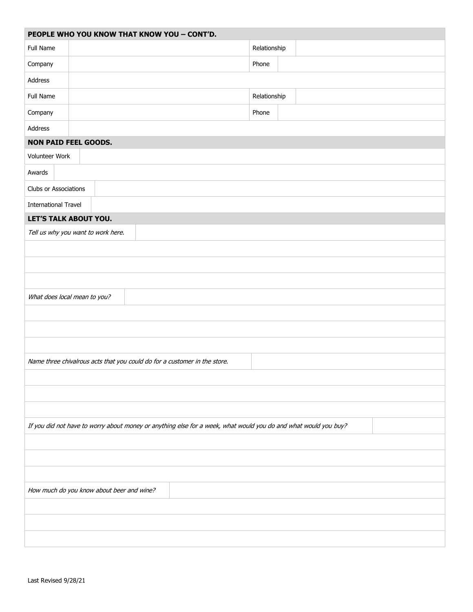| PEOPLE WHO YOU KNOW THAT KNOW YOU - CONT'D.                                                                     |              |  |  |  |  |  |  |  |
|-----------------------------------------------------------------------------------------------------------------|--------------|--|--|--|--|--|--|--|
| Full Name                                                                                                       | Relationship |  |  |  |  |  |  |  |
| Company                                                                                                         | Phone        |  |  |  |  |  |  |  |
| Address                                                                                                         |              |  |  |  |  |  |  |  |
| Full Name                                                                                                       | Relationship |  |  |  |  |  |  |  |
| Company                                                                                                         | Phone        |  |  |  |  |  |  |  |
| Address                                                                                                         |              |  |  |  |  |  |  |  |
| <b>NON PAID FEEL GOODS.</b>                                                                                     |              |  |  |  |  |  |  |  |
| Volunteer Work                                                                                                  |              |  |  |  |  |  |  |  |
| Awards                                                                                                          |              |  |  |  |  |  |  |  |
| Clubs or Associations                                                                                           |              |  |  |  |  |  |  |  |
| <b>International Travel</b>                                                                                     |              |  |  |  |  |  |  |  |
| LET'S TALK ABOUT YOU.                                                                                           |              |  |  |  |  |  |  |  |
| Tell us why you want to work here.                                                                              |              |  |  |  |  |  |  |  |
|                                                                                                                 |              |  |  |  |  |  |  |  |
|                                                                                                                 |              |  |  |  |  |  |  |  |
|                                                                                                                 |              |  |  |  |  |  |  |  |
| What does local mean to you?                                                                                    |              |  |  |  |  |  |  |  |
|                                                                                                                 |              |  |  |  |  |  |  |  |
|                                                                                                                 |              |  |  |  |  |  |  |  |
|                                                                                                                 |              |  |  |  |  |  |  |  |
| Name three chivalrous acts that you could do for a customer in the store.                                       |              |  |  |  |  |  |  |  |
|                                                                                                                 |              |  |  |  |  |  |  |  |
|                                                                                                                 |              |  |  |  |  |  |  |  |
|                                                                                                                 |              |  |  |  |  |  |  |  |
| If you did not have to worry about money or anything else for a week, what would you do and what would you buy? |              |  |  |  |  |  |  |  |
|                                                                                                                 |              |  |  |  |  |  |  |  |
|                                                                                                                 |              |  |  |  |  |  |  |  |
|                                                                                                                 |              |  |  |  |  |  |  |  |
| How much do you know about beer and wine?                                                                       |              |  |  |  |  |  |  |  |
|                                                                                                                 |              |  |  |  |  |  |  |  |
|                                                                                                                 |              |  |  |  |  |  |  |  |
|                                                                                                                 |              |  |  |  |  |  |  |  |
|                                                                                                                 |              |  |  |  |  |  |  |  |